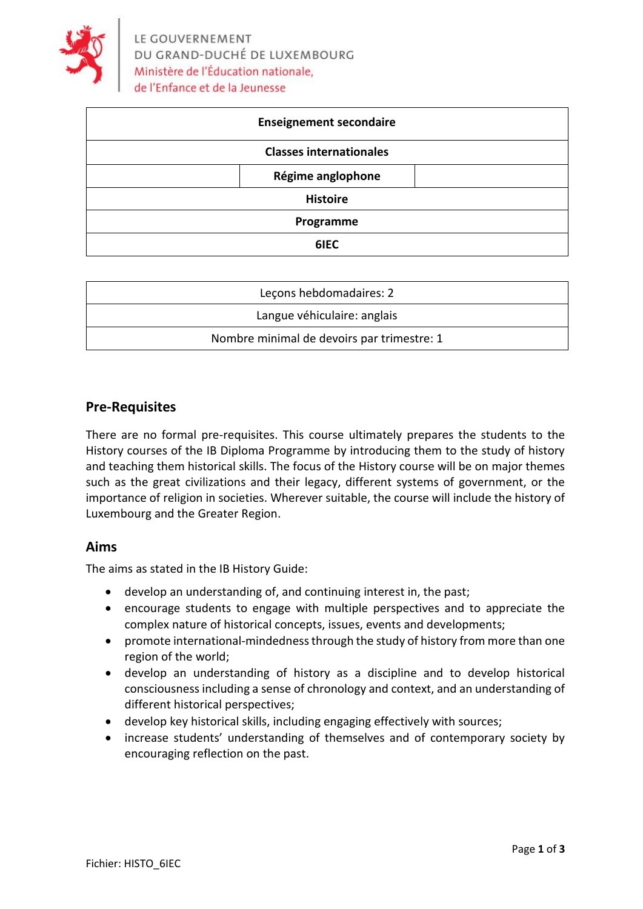

| <b>Enseignement secondaire</b> |                                |  |
|--------------------------------|--------------------------------|--|
|                                | <b>Classes internationales</b> |  |
|                                | Régime anglophone              |  |
| <b>Histoire</b>                |                                |  |
|                                | Programme                      |  |
|                                | 6IEC                           |  |

| Lecons hebdomadaires: 2                    |  |
|--------------------------------------------|--|
| Langue véhiculaire: anglais                |  |
| Nombre minimal de devoirs par trimestre: 1 |  |

#### **Pre-Requisites**

There are no formal pre-requisites. This course ultimately prepares the students to the History courses of the IB Diploma Programme by introducing them to the study of history and teaching them historical skills. The focus of the History course will be on major themes such as the great civilizations and their legacy, different systems of government, or the importance of religion in societies. Wherever suitable, the course will include the history of Luxembourg and the Greater Region.

#### **Aims**

The aims as stated in the IB History Guide:

- develop an understanding of, and continuing interest in, the past;
- encourage students to engage with multiple perspectives and to appreciate the complex nature of historical concepts, issues, events and developments;
- promote international-mindedness through the study of history from more than one region of the world;
- develop an understanding of history as a discipline and to develop historical consciousness including a sense of chronology and context, and an understanding of different historical perspectives;
- develop key historical skills, including engaging effectively with sources;
- increase students' understanding of themselves and of contemporary society by encouraging reflection on the past.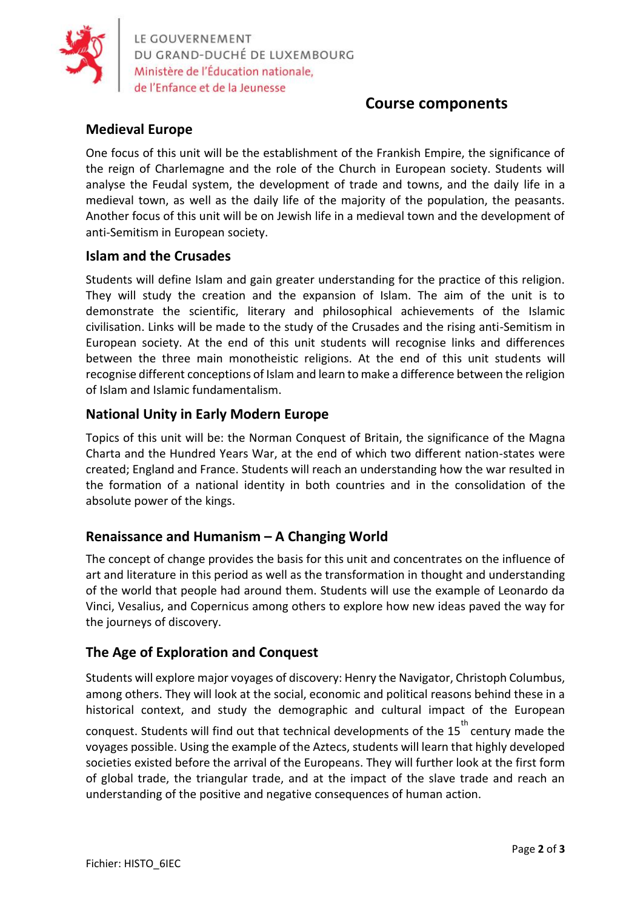

LE GOUVERNEMENT DU GRAND-DUCHÉ DE LUXEMBOURG Ministère de l'Éducation nationale,

# **Course components**

# **Medieval Europe**

One focus of this unit will be the establishment of the Frankish Empire, the significance of the reign of Charlemagne and the role of the Church in European society. Students will analyse the Feudal system, the development of trade and towns, and the daily life in a medieval town, as well as the daily life of the majority of the population, the peasants. Another focus of this unit will be on Jewish life in a medieval town and the development of anti-Semitism in European society.

#### **Islam and the Crusades**

Students will define Islam and gain greater understanding for the practice of this religion. They will study the creation and the expansion of Islam. The aim of the unit is to demonstrate the scientific, literary and philosophical achievements of the Islamic civilisation. Links will be made to the study of the Crusades and the rising anti-Semitism in European society. At the end of this unit students will recognise links and differences between the three main monotheistic religions. At the end of this unit students will recognise different conceptions of Islam and learn to make a difference between the religion of Islam and Islamic fundamentalism.

#### **National Unity in Early Modern Europe**

Topics of this unit will be: the Norman Conquest of Britain, the significance of the Magna Charta and the Hundred Years War, at the end of which two different nation-states were created; England and France. Students will reach an understanding how the war resulted in the formation of a national identity in both countries and in the consolidation of the absolute power of the kings.

### **Renaissance and Humanism – A Changing World**

The concept of change provides the basis for this unit and concentrates on the influence of art and literature in this period as well as the transformation in thought and understanding of the world that people had around them. Students will use the example of Leonardo da Vinci, Vesalius, and Copernicus among others to explore how new ideas paved the way for the journeys of discovery.

### **The Age of Exploration and Conquest**

Students will explore major voyages of discovery: Henry the Navigator, Christoph Columbus, among others. They will look at the social, economic and political reasons behind these in a historical context, and study the demographic and cultural impact of the European conquest. Students will find out that technical developments of the 15<sup>th</sup> century made the voyages possible. Using the example of the Aztecs, students will learn that highly developed societies existed before the arrival of the Europeans. They will further look at the first form of global trade, the triangular trade, and at the impact of the slave trade and reach an understanding of the positive and negative consequences of human action.